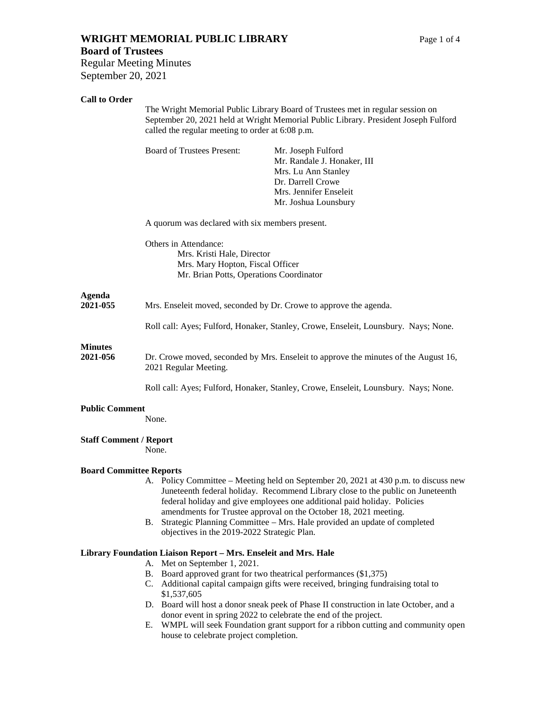# **WRIGHT MEMORIAL PUBLIC LIBRARY** Page 1 of 4

# **Board of Trustees**

Regular Meeting Minutes September 20, 2021

# **Call to Order**

|                                | The Wright Memorial Public Library Board of Trustees met in regular session on<br>September 20, 2021 held at Wright Memorial Public Library. President Joseph Fulford<br>called the regular meeting to order at 6:08 p.m. |                                                                                                                                                                                                                                                                                                                                                                                                    |
|--------------------------------|---------------------------------------------------------------------------------------------------------------------------------------------------------------------------------------------------------------------------|----------------------------------------------------------------------------------------------------------------------------------------------------------------------------------------------------------------------------------------------------------------------------------------------------------------------------------------------------------------------------------------------------|
|                                | <b>Board of Trustees Present:</b>                                                                                                                                                                                         | Mr. Joseph Fulford<br>Mr. Randale J. Honaker, III<br>Mrs. Lu Ann Stanley<br>Dr. Darrell Crowe<br>Mrs. Jennifer Enseleit<br>Mr. Joshua Lounsbury                                                                                                                                                                                                                                                    |
|                                | A quorum was declared with six members present.<br>Others in Attendance:<br>Mrs. Kristi Hale, Director<br>Mrs. Mary Hopton, Fiscal Officer<br>Mr. Brian Potts, Operations Coordinator                                     |                                                                                                                                                                                                                                                                                                                                                                                                    |
|                                |                                                                                                                                                                                                                           |                                                                                                                                                                                                                                                                                                                                                                                                    |
| Agenda<br>2021-055             | Mrs. Enseleit moved, seconded by Dr. Crowe to approve the agenda.                                                                                                                                                         |                                                                                                                                                                                                                                                                                                                                                                                                    |
|                                | Roll call: Ayes; Fulford, Honaker, Stanley, Crowe, Enseleit, Lounsbury. Nays; None.                                                                                                                                       |                                                                                                                                                                                                                                                                                                                                                                                                    |
| <b>Minutes</b><br>2021-056     | Dr. Crowe moved, seconded by Mrs. Enseleit to approve the minutes of the August 16,<br>2021 Regular Meeting.                                                                                                              |                                                                                                                                                                                                                                                                                                                                                                                                    |
|                                |                                                                                                                                                                                                                           | Roll call: Ayes; Fulford, Honaker, Stanley, Crowe, Enseleit, Lounsbury. Nays; None.                                                                                                                                                                                                                                                                                                                |
| <b>Public Comment</b>          | None.                                                                                                                                                                                                                     |                                                                                                                                                                                                                                                                                                                                                                                                    |
| <b>Staff Comment / Report</b>  | None.                                                                                                                                                                                                                     |                                                                                                                                                                                                                                                                                                                                                                                                    |
| <b>Board Committee Reports</b> | В.<br>objectives in the 2019-2022 Strategic Plan.                                                                                                                                                                         | A. Policy Committee – Meeting held on September 20, 2021 at 430 p.m. to discuss new<br>Juneteenth federal holiday. Recommend Library close to the public on Juneteenth<br>federal holiday and give employees one additional paid holiday. Policies<br>amendments for Trustee approval on the October 18, 2021 meeting.<br>Strategic Planning Committee - Mrs. Hale provided an update of completed |
|                                | Library Foundation Liaison Report - Mrs. Enseleit and Mrs. Hale<br>A. Met on September 1, 2021.<br>B. Board approved grant for two theatrical performances (\$1,375)                                                      | C. Additional capital campaign gifts were received, bringing fundraising total to                                                                                                                                                                                                                                                                                                                  |
|                                | \$1,537,605<br>E.,                                                                                                                                                                                                        | D. Board will host a donor sneak peek of Phase II construction in late October, and a<br>donor event in spring 2022 to celebrate the end of the project.<br>WMPL will seek Foundation graps support for a ribbon cutting and community open                                                                                                                                                        |

E. WMPL will seek Foundation grant support for a ribbon cutting and community open house to celebrate project completion.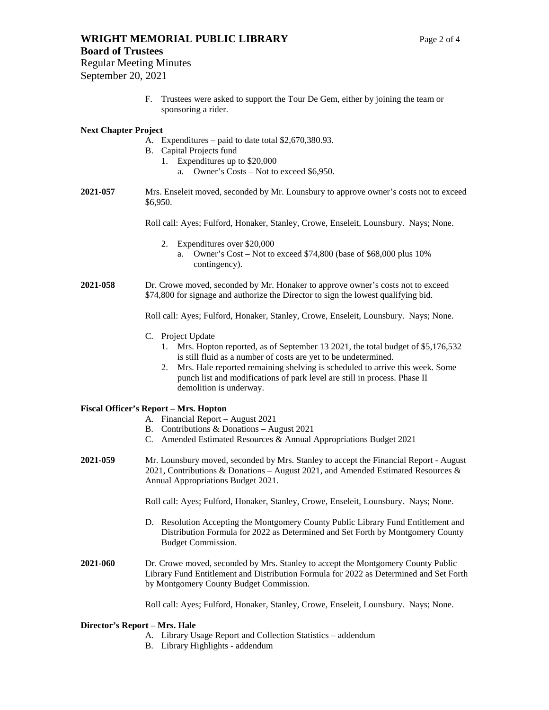#### **Board of Trustees**

Regular Meeting Minutes September 20, 2021

> F. Trustees were asked to support the Tour De Gem, either by joining the team or sponsoring a rider.

# **Next Chapter Project**

- A. Expenditures paid to date total \$2,670,380.93.
- B. Capital Projects fund
	- 1. Expenditures up to \$20,000
		- a. Owner's Costs Not to exceed \$6,950.
- **2021-057** Mrs. Enseleit moved, seconded by Mr. Lounsbury to approve owner's costs not to exceed \$6,950.

Roll call: Ayes; Fulford, Honaker, Stanley, Crowe, Enseleit, Lounsbury. Nays; None.

- 2. Expenditures over \$20,000
	- a. Owner's Cost Not to exceed \$74,800 (base of \$68,000 plus 10% contingency).

#### **2021-058** Dr. Crowe moved, seconded by Mr. Honaker to approve owner's costs not to exceed \$74,800 for signage and authorize the Director to sign the lowest qualifying bid.

Roll call: Ayes; Fulford, Honaker, Stanley, Crowe, Enseleit, Lounsbury. Nays; None.

- C. Project Update
	- 1. Mrs. Hopton reported, as of September 13 2021, the total budget of \$5,176,532 is still fluid as a number of costs are yet to be undetermined.
	- 2. Mrs. Hale reported remaining shelving is scheduled to arrive this week. Some punch list and modifications of park level are still in process. Phase II demolition is underway.

#### **Fiscal Officer's Report – Mrs. Hopton**

- A. Financial Report August 2021
- B. Contributions & Donations August 2021
- C. Amended Estimated Resources & Annual Appropriations Budget 2021
- **2021-059** Mr. Lounsbury moved, seconded by Mrs. Stanley to accept the Financial Report August 2021, Contributions & Donations – August 2021, and Amended Estimated Resources & Annual Appropriations Budget 2021.

Roll call: Ayes; Fulford, Honaker, Stanley, Crowe, Enseleit, Lounsbury. Nays; None.

- D. Resolution Accepting the Montgomery County Public Library Fund Entitlement and Distribution Formula for 2022 as Determined and Set Forth by Montgomery County Budget Commission.
- **2021-060** Dr. Crowe moved, seconded by Mrs. Stanley to accept the Montgomery County Public Library Fund Entitlement and Distribution Formula for 2022 as Determined and Set Forth by Montgomery County Budget Commission.

Roll call: Ayes; Fulford, Honaker, Stanley, Crowe, Enseleit, Lounsbury. Nays; None.

#### **Director's Report – Mrs. Hale**

- A. Library Usage Report and Collection Statistics addendum
- B. Library Highlights addendum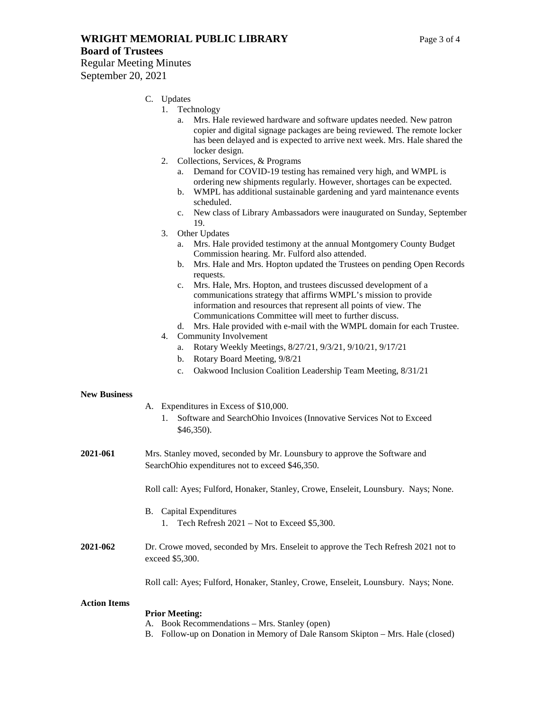**WRIGHT MEMORIAL PUBLIC LIBRARY** Page 3 of 4

#### **Board of Trustees**

Regular Meeting Minutes September 20, 2021

# C. Updates

- 1. Technology
	- a. Mrs. Hale reviewed hardware and software updates needed. New patron copier and digital signage packages are being reviewed. The remote locker has been delayed and is expected to arrive next week. Mrs. Hale shared the locker design.
- 2. Collections, Services, & Programs
	- a. Demand for COVID-19 testing has remained very high, and WMPL is ordering new shipments regularly. However, shortages can be expected.
	- b. WMPL has additional sustainable gardening and yard maintenance events scheduled.
	- c. New class of Library Ambassadors were inaugurated on Sunday, September 19.
- 3. Other Updates
	- a. Mrs. Hale provided testimony at the annual Montgomery County Budget Commission hearing. Mr. Fulford also attended.
	- b. Mrs. Hale and Mrs. Hopton updated the Trustees on pending Open Records requests.
	- c. Mrs. Hale, Mrs. Hopton, and trustees discussed development of a communications strategy that affirms WMPL's mission to provide information and resources that represent all points of view. The Communications Committee will meet to further discuss.
- d. Mrs. Hale provided with e-mail with the WMPL domain for each Trustee.
- 4. Community Involvement
	- a. Rotary Weekly Meetings, 8/27/21, 9/3/21, 9/10/21, 9/17/21
	- b. Rotary Board Meeting, 9/8/21
	- c. Oakwood Inclusion Coalition Leadership Team Meeting, 8/31/21

#### **New Business**

- A. Expenditures in Excess of \$10,000.
	- 1. Software and SearchOhio Invoices (Innovative Services Not to Exceed \$46,350).
- **2021-061** Mrs. Stanley moved, seconded by Mr. Lounsbury to approve the Software and SearchOhio expenditures not to exceed \$46,350.

Roll call: Ayes; Fulford, Honaker, Stanley, Crowe, Enseleit, Lounsbury. Nays; None.

#### B. Capital Expenditures

- 1. Tech Refresh 2021 Not to Exceed \$5,300.
- **2021-062** Dr. Crowe moved, seconded by Mrs. Enseleit to approve the Tech Refresh 2021 not to exceed \$5,300.

Roll call: Ayes; Fulford, Honaker, Stanley, Crowe, Enseleit, Lounsbury. Nays; None.

#### **Action Items**

#### **Prior Meeting:**

- A. Book Recommendations Mrs. Stanley (open)
- B. Follow-up on Donation in Memory of Dale Ransom Skipton Mrs. Hale (closed)